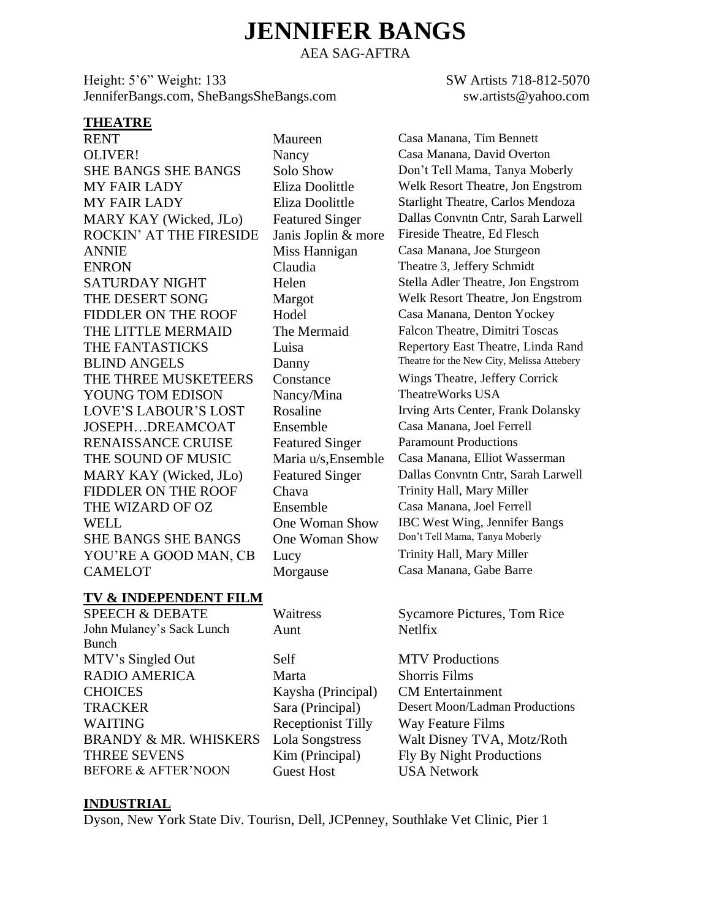# **JENNIFER BANGS**

AEA SAG-AFTRA

Height: 5'6" Weight: 133 SW Artists 718-812-5070 JenniferBangs.com, SheBangsSheBangs.com sw.artists@yahoo.com

#### **THEATRE**

RENT Maureen Casa Manana, Tim Bennett OLIVER! Nancy Casa Manana, David Overton ROCKIN' AT THE FIRESIDE Janis Joplin & more ANNIE Miss Hannigan Casa Manana, Joe Sturgeon ENRON Claudia Theatre 3, Jeffery Schmidt FIDDLER ON THE ROOF Hodel Casa Manana, Denton Yockey THE LITTLE MERMAID The Mermaid Falcon Theatre, Dimitri Toscas THE THREE MUSKETEERS Constance Wings Theatre, Jeffery Corrick YOUNG TOM EDISON Nancy/Mina TheatreWorks USA JOSEPH…DREAMCOAT Ensemble Casa Manana, Joel Ferrell RENAISSANCE CRUISE Featured Singer Paramount Productions THE SOUND OF MUSIC Maria u/s,Ensemble Casa Manana, Elliot Wasserman FIDDLER ON THE ROOF Chava Trinity Hall, Mary Miller THE WIZARD OF OZ Ensemble Casa Manana, Joel Ferrell WELL **One Woman Show IBC West Wing, Jennifer Bangs**<br>
SHE BANGS SHE BANGS One Woman Show Don't Tell Mama, Tanya Moberly SHE BANGS SHE BANGS One Woman Show YOU'RE A GOOD MAN, CB Lucy Trinity Hall, Mary Miller CAMELOT Morgause Casa Manana, Gabe Barre

SHE BANGS SHE BANGS Solo Show Don't Tell Mama, Tanya Moberly MY FAIR LADY Eliza Doolittle Welk Resort Theatre, Jon Engstrom MY FAIR LADY Eliza Doolittle Starlight Theatre, Carlos Mendoza MARY KAY (Wicked, JLo) Featured Singer Dallas Convntn Cntr, Sarah Larwell<br>ROCKIN' AT THE FIRESIDE Janis Joplin & more Fireside Theatre. Ed Flesch SATURDAY NIGHT Helen Stella Adler Theatre, Jon Engstrom THE DESERT SONG Margot Welk Resort Theatre, Jon Engstrom THE FANTASTICKS Luisa Repertory East Theatre, Linda Rand BLIND ANGELS Danny Theatre for the New City, Melissa Attebery LOVE'S LABOUR'S LOST Rosaline Irving Arts Center, Frank Dolansky MARY KAY (Wicked, JLo) Featured Singer Dallas Convntn Cntr, Sarah Larwell

#### **TV & INDEPENDENT FILM**

John Mulaney's Sack Lunch Bunch MTV's Singled Out Self MTV Productions RADIO AMERICA Marta Shorris Films CHOICES Kaysha (Principal) CM Entertainment WAITING Receptionist Tilly Way Feature Films THREE SEVENS Kim (Principal) Fly By Night Productions BEFORE & AFTER'NOON Guest Host USA Network

| Waitres |  |
|---------|--|
| Aunt    |  |

SPEECH & DEBATE Waitress Sycamore Pictures, Tom Rice Netlfix

TRACKER Sara (Principal) Desert Moon/Ladman Productions BRANDY & MR. WHISKERS Lola Songstress Walt Disney TVA, Motz/Roth

#### **INDUSTRIAL**

Dyson, New York State Div. Tourisn, Dell, JCPenney, Southlake Vet Clinic, Pier 1